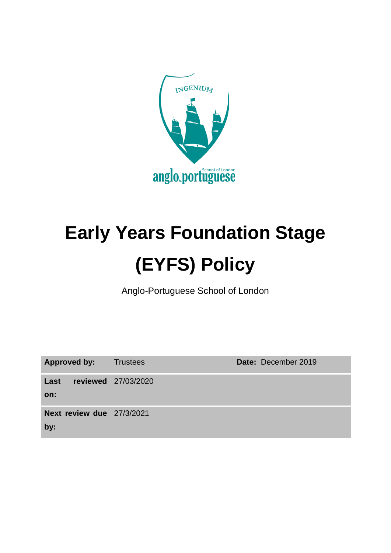

# **Early Years Foundation Stage (EYFS) Policy**

Anglo-Portuguese School of London

| <b>Approved by:</b>              | <b>Trustees</b>     | Date: December 2019 |
|----------------------------------|---------------------|---------------------|
| Last<br>on:                      | reviewed 27/03/2020 |                     |
| Next review due 27/3/2021<br>by: |                     |                     |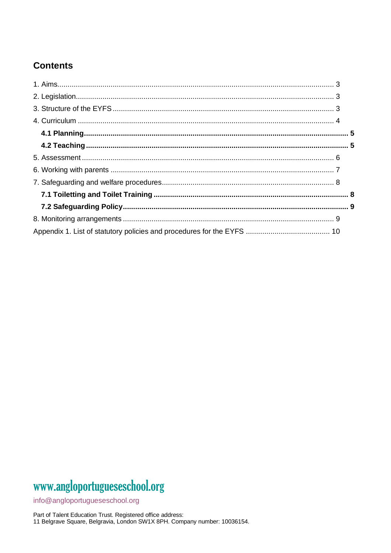## **Contents**

# www.angloportugueseschool.org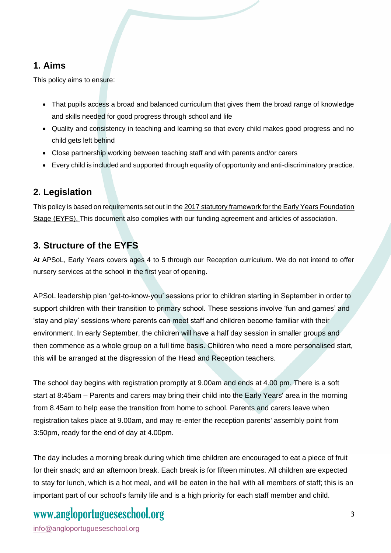## **1. Aims**

This policy aims to ensure:

- That pupils access a broad and balanced curriculum that gives them the broad range of knowledge and skills needed for good progress through school and life
- Quality and consistency in teaching and learning so that every child makes good progress and no child gets left behind
- Close partnership working between teaching staff and with parents and/or carers
- Every child is included and supported through equality of opportunity and anti-discriminatory practice.

## **2. Legislation**

This policy is based on requirements set out in th[e 2017 statutory framework for the Early Years Foundation](https://www.gov.uk/government/uploads/system/uploads/attachment_data/file/596629/EYFS_STATUTORY_FRAMEWORK_2017.pdf)  [Stage \(EYFS\).](https://www.gov.uk/government/uploads/system/uploads/attachment_data/file/596629/EYFS_STATUTORY_FRAMEWORK_2017.pdf) This document also complies with our funding agreement and articles of association.

## **3. Structure of the EYFS**

At APSoL, Early Years covers ages 4 to 5 through our Reception curriculum. We do not intend to offer nursery services at the school in the first year of opening.

APSoL leadership plan 'get-to-know-you' sessions prior to children starting in September in order to support children with their transition to primary school. These sessions involve 'fun and games' and 'stay and play' sessions where parents can meet staff and children become familiar with their environment. In early September, the children will have a half day session in smaller groups and then commence as a whole group on a full time basis. Children who need a more personalised start, this will be arranged at the disgression of the Head and Reception teachers.

The school day begins with registration promptly at 9.00am and ends at 4.00 pm. There is a soft start at 8:45am – Parents and carers may bring their child into the Early Years' area in the morning from 8.45am to help ease the transition from home to school. Parents and carers leave when registration takes place at 9.00am, and may re-enter the reception parents' assembly point from 3:50pm, ready for the end of day at 4.00pm.

The day includes a morning break during which time children are encouraged to eat a piece of fruit for their snack; and an afternoon break. Each break is for fifteen minutes. All children are expected to stay for lunch, which is a hot meal, and will be eaten in the hall with all members of staff; this is an important part of our school's family life and is a high priority for each staff member and child.

# www.angloportugueseschool.org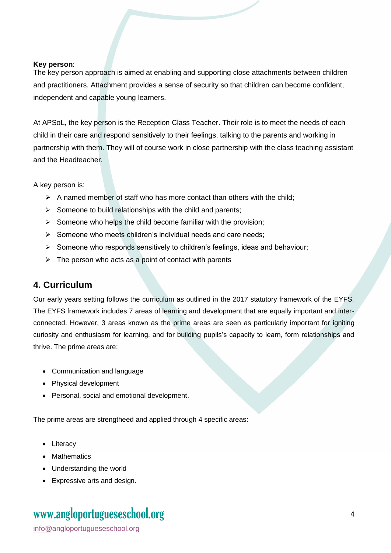#### **Key person**:

The key person approach is aimed at enabling and supporting close attachments between children and practitioners. Attachment provides a sense of security so that children can become confident, independent and capable young learners.

At APSoL, the key person is the Reception Class Teacher. Their role is to meet the needs of each child in their care and respond sensitively to their feelings, talking to the parents and working in partnership with them. They will of course work in close partnership with the class teaching assistant and the Headteacher.

A key person is:

- $\triangleright$  A named member of staff who has more contact than others with the child;
- $\triangleright$  Someone to build relationships with the child and parents;
- $\triangleright$  Someone who helps the child become familiar with the provision;
- ➢ Someone who meets children's individual needs and care needs;
- ➢ Someone who responds sensitively to children's feelings, ideas and behaviour;
- $\triangleright$  The person who acts as a point of contact with parents

#### **4. Curriculum**

Our early years setting follows the curriculum as outlined in the 2017 statutory framework of the EYFS. The EYFS framework includes 7 areas of learning and development that are equally important and interconnected. However, 3 areas known as the prime areas are seen as particularly important for igniting curiosity and enthusiasm for learning, and for building pupils's capacity to learn, form relationships and thrive. The prime areas are:

- Communication and language
- Physical development
- Personal, social and emotional development.

The prime areas are strengtheed and applied through 4 specific areas:

- Literacy
- Mathematics
- Understanding the world
- Expressive arts and design.

# www.angloportugueseschool.org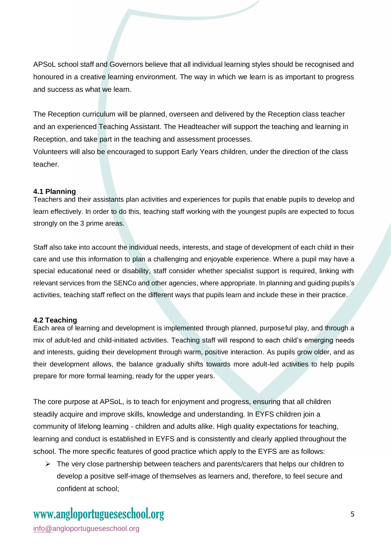APSoL school staff and Governors believe that all individual learning styles should be recognised and honoured in a creative learning environment. The way in which we learn is as important to progress and success as what we learn.

The Reception curriculum will be planned, overseen and delivered by the Reception class teacher and an experienced Teaching Assistant. The Headteacher will support the teaching and learning in Reception, and take part in the teaching and assessment processes.

Volunteers will also be encouraged to support Early Years children, under the direction of the class teacher.

#### **4.1 Planning**

Teachers and their assistants plan activities and experiences for pupils that enable pupils to develop and learn effectively. In order to do this, teaching staff working with the youngest pupils are expected to focus strongly on the 3 prime areas.

Staff also take into account the individual needs, interests, and stage of development of each child in their care and use this information to plan a challenging and enjoyable experience. Where a pupil may have a special educational need or disability, staff consider whether specialist support is required, linking with relevant services from the SENCo and other agencies, where appropriate. In planning and guiding pupils's activities, teaching staff reflect on the different ways that pupils learn and include these in their practice.

#### **4.2 Teaching**

Each area of learning and development is implemented through planned, purposeful play, and through a mix of adult-led and child-initiated activities. Teaching staff will respond to each child's emerging needs and interests, guiding their development through warm, positive interaction. As pupils grow older, and as their development allows, the balance gradually shifts towards more adult-led activities to help pupils prepare for more formal learning, ready for the upper years.

The core purpose at APSoL, is to teach for enjoyment and progress, ensuring that all children steadily acquire and improve skills, knowledge and understanding. In EYFS children join a community of lifelong learning - children and adults alike. High quality expectations for teaching, learning and conduct is established in EYFS and is consistently and clearly applied throughout the school. The more specific features of good practice which apply to the EYFS are as follows:

 $\triangleright$  The very close partnership between teachers and parents/carers that helps our children to develop a positive self-image of themselves as learners and, therefore, to feel secure and confident at school;

# www.angloportugueseschool.org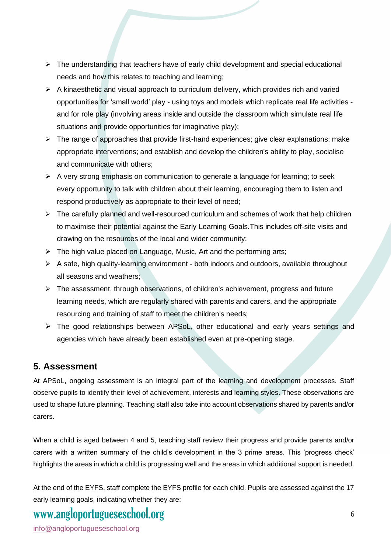- $\triangleright$  The understanding that teachers have of early child development and special educational needs and how this relates to teaching and learning;
- $\triangleright$  A kinaesthetic and visual approach to curriculum delivery, which provides rich and varied opportunities for 'small world' play - using toys and models which replicate real life activities and for role play (involving areas inside and outside the classroom which simulate real life situations and provide opportunities for imaginative play);
- ➢ The range of approaches that provide first-hand experiences; give clear explanations; make appropriate interventions; and establish and develop the children's ability to play, socialise and communicate with others;
- $\triangleright$  A very strong emphasis on communication to generate a language for learning; to seek every opportunity to talk with children about their learning, encouraging them to listen and respond productively as appropriate to their level of need;
- $\triangleright$  The carefully planned and well-resourced curriculum and schemes of work that help children to maximise their potential against the Early Learning Goals.This includes off-site visits and drawing on the resources of the local and wider community;
- ➢ The high value placed on Language, Music, Art and the performing arts;
- $\triangleright$  A safe, high quality-learning environment both indoors and outdoors, available throughout all seasons and weathers;
- $\triangleright$  The assessment, through observations, of children's achievement, progress and future learning needs, which are regularly shared with parents and carers, and the appropriate resourcing and training of staff to meet the children's needs;
- ➢ The good relationships between APSoL, other educational and early years settings and agencies which have already been established even at pre-opening stage.

## **5. Assessment**

At APSoL, ongoing assessment is an integral part of the learning and development processes. Staff observe pupils to identify their level of achievement, interests and learning styles. These observations are used to shape future planning. Teaching staff also take into account observations shared by parents and/or carers.

When a child is aged between 4 and 5, teaching staff review their progress and provide parents and/or carers with a written summary of the child's development in the 3 prime areas. This 'progress check' highlights the areas in which a child is progressing well and the areas in which additional support is needed.

At the end of the EYFS, staff complete the EYFS profile for each child. Pupils are assessed against the 17 early learning goals, indicating whether they are:

# www.angloportugueseschool.org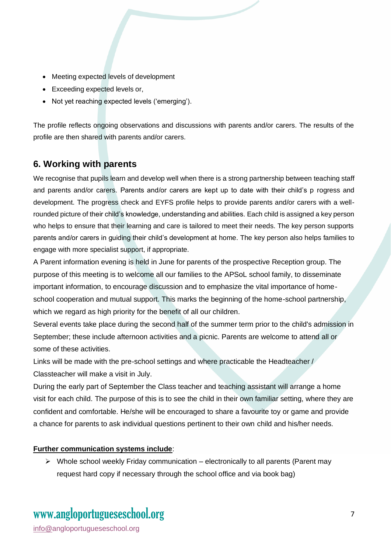- Meeting expected levels of development
- Exceeding expected levels or,
- Not yet reaching expected levels ('emerging').

The profile reflects ongoing observations and discussions with parents and/or carers. The results of the profile are then shared with parents and/or carers.

## **6. Working with parents**

We recognise that pupils learn and develop well when there is a strong partnership between teaching staff and parents and/or carers. Parents and/or carers are kept up to date with their child's p rogress and development. The progress check and EYFS profile helps to provide parents and/or carers with a wellrounded picture of their child's knowledge, understanding and abilities. Each child is assigned a key person who helps to ensure that their learning and care is tailored to meet their needs. The key person supports parents and/or carers in guiding their child's development at home. The key person also helps families to engage with more specialist support, if appropriate.

A Parent information evening is held in June for parents of the prospective Reception group. The purpose of this meeting is to welcome all our families to the APSoL school family, to disseminate important information, to encourage discussion and to emphasize the vital importance of homeschool cooperation and mutual support. This marks the beginning of the home-school partnership, which we regard as high priority for the benefit of all our children.

Several events take place during the second half of the summer term prior to the child's admission in September; these include afternoon activities and a picnic. Parents are welcome to attend all or some of these activities.

Links will be made with the pre-school settings and where practicable the Headteacher / Classteacher will make a visit in July.

During the early part of September the Class teacher and teaching assistant will arrange a home visit for each child. The purpose of this is to see the child in their own familiar setting, where they are confident and comfortable. He/she will be encouraged to share a favourite toy or game and provide a chance for parents to ask individual questions pertinent to their own child and his/her needs.

#### **Further communication systems include**:

 $\triangleright$  Whole school weekly Friday communication – electronically to all parents (Parent may request hard copy if necessary through the school office and via book bag)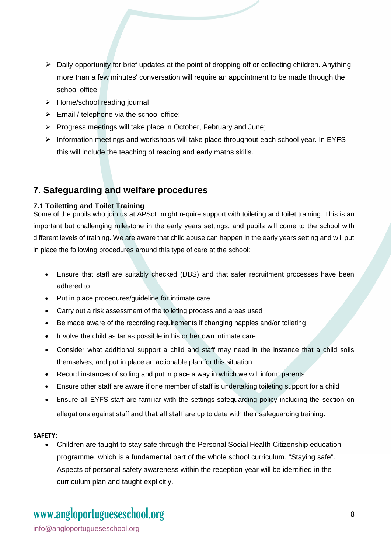- $\triangleright$  Daily opportunity for brief updates at the point of dropping off or collecting children. Anything more than a few minutes' conversation will require an appointment to be made through the school office;
- ➢ Home/school reading journal
- $\triangleright$  Email / telephone via the school office;
- ➢ Progress meetings will take place in October, February and June;
- ➢ Information meetings and workshops will take place throughout each school year. In EYFS this will include the teaching of reading and early maths skills.

## **7. Safeguarding and welfare procedures**

#### **7.1 Toiletting and Toilet Training**

Some of the pupils who join us at APSoL might require support with toileting and toilet training. This is an important but challenging milestone in the early years settings, and pupils will come to the school with different levels of training. We are aware that child abuse can happen in the early years setting and will put in place the following procedures around this type of care at the school:

- Ensure that staff are suitably checked (DBS) and that safer recruitment processes have been adhered to
- Put in place procedures/guideline for intimate care
- Carry out a risk assessment of the toileting process and areas used
- Be made aware of the recording requirements if changing nappies and/or toileting
- Involve the child as far as possible in his or her own intimate care
- Consider what additional support a child and staff may need in the instance that a child soils themselves, and put in place an actionable plan for this situation
- Record instances of soiling and put in place a way in which we will inform parents
- Ensure other staff are aware if one member of staff is undertaking toileting support for a child
- Ensure all EYFS staff are familiar with the settings safeguarding policy including the section on allegations against staff and that all staff are up to date with their safeguarding training.

#### **SAFETY:**

• Children are taught to stay safe through the Personal Social Health Citizenship education programme, which is a fundamental part of the whole school curriculum. "Staying safe". Aspects of personal safety awareness within the reception year will be identified in the curriculum plan and taught explicitly.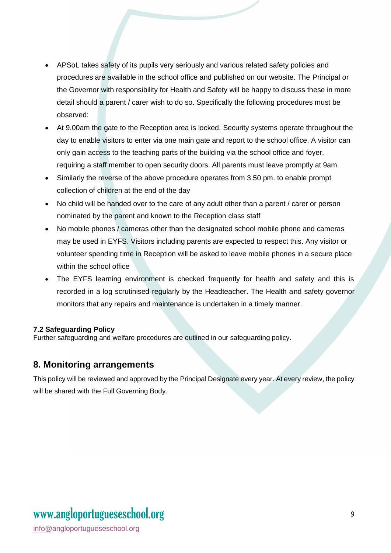- APSoL takes safety of its pupils very seriously and various related safety policies and procedures are available in the school office and published on our website. The Principal or the Governor with responsibility for Health and Safety will be happy to discuss these in more detail should a parent / carer wish to do so. Specifically the following procedures must be observed:
- At 9.00am the gate to the Reception area is locked. Security systems operate throughout the day to enable visitors to enter via one main gate and report to the school office. A visitor can only gain access to the teaching parts of the building via the school office and foyer, requiring a staff member to open security doors. All parents must leave promptly at 9am.
- Similarly the reverse of the above procedure operates from 3.50 pm. to enable prompt collection of children at the end of the day
- No child will be handed over to the care of any adult other than a parent / carer or person nominated by the parent and known to the Reception class staff
- No mobile phones / cameras other than the designated school mobile phone and cameras may be used in EYFS. Visitors including parents are expected to respect this. Any visitor or volunteer spending time in Reception will be asked to leave mobile phones in a secure place within the school office
- The EYFS learning environment is checked frequently for health and safety and this is recorded in a log scrutinised regularly by the Headteacher. The Health and safety governor monitors that any repairs and maintenance is undertaken in a timely manner.

#### **7.2 Safeguarding Policy**

Further safeguarding and welfare procedures are outlined in our safeguarding policy.

## **8. Monitoring arrangements**

This policy will be reviewed and approved by the Principal Designate every year. At every review, the policy will be shared with the Full Governing Body.